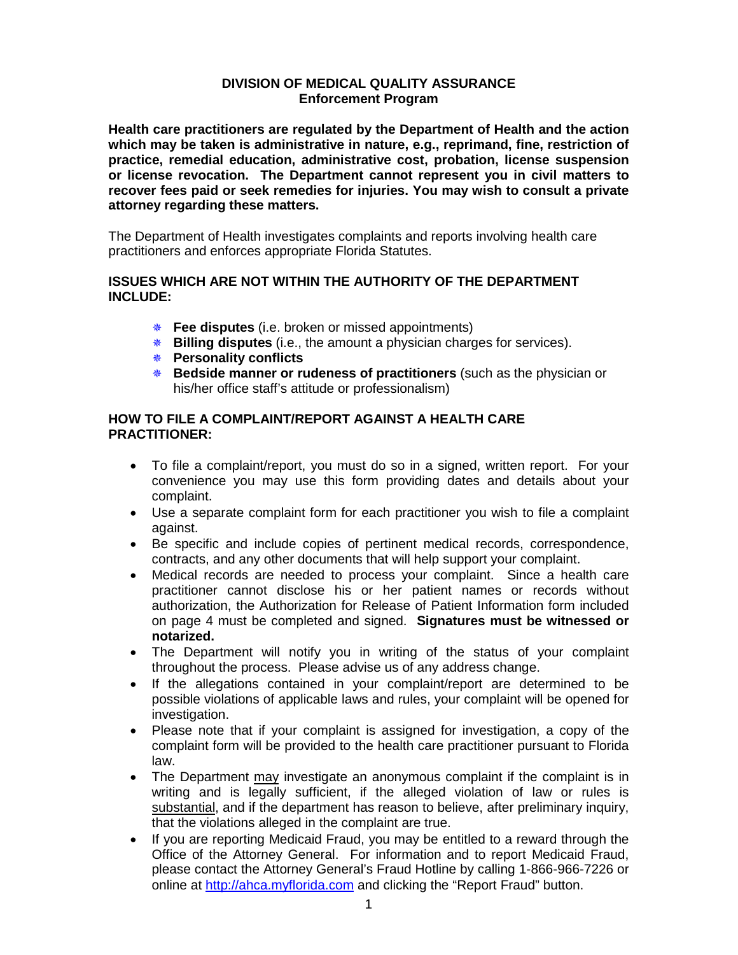## **DIVISION OF MEDICAL QUALITY ASSURANCE Enforcement Program**

**Health care practitioners are regulated by the Department of Health and the action which may be taken is administrative in nature, e.g., reprimand, fine, restriction of practice, remedial education, administrative cost, probation, license suspension or license revocation. The Department cannot represent you in civil matters to recover fees paid or seek remedies for injuries. You may wish to consult a private attorney regarding these matters.**

The Department of Health investigates complaints and reports involving health care practitioners and enforces appropriate Florida Statutes.

## **ISSUES WHICH ARE NOT WITHIN THE AUTHORITY OF THE DEPARTMENT INCLUDE:**

- **Fee disputes** (i.e. broken or missed appointments)
- **Billing disputes** (i.e., the amount a physician charges for services).
- **Personality conflicts**
- **Bedside manner or rudeness of practitioners** (such as the physician or his/her office staff's attitude or professionalism)

# **HOW TO FILE A COMPLAINT/REPORT AGAINST A HEALTH CARE PRACTITIONER:**

- To file a complaint/report, you must do so in a signed, written report. For your convenience you may use this form providing dates and details about your complaint.
- Use a separate complaint form for each practitioner you wish to file a complaint against.
- Be specific and include copies of pertinent medical records, correspondence, contracts, and any other documents that will help support your complaint.
- Medical records are needed to process your complaint. Since a health care practitioner cannot disclose his or her patient names or records without authorization, the Authorization for Release of Patient Information form included on page 4 must be completed and signed. **Signatures must be witnessed or notarized.**
- The Department will notify you in writing of the status of your complaint throughout the process. Please advise us of any address change.
- If the allegations contained in your complaint/report are determined to be possible violations of applicable laws and rules, your complaint will be opened for investigation.
- Please note that if your complaint is assigned for investigation, a copy of the complaint form will be provided to the health care practitioner pursuant to Florida law.
- The Department may investigate an anonymous complaint if the complaint is in writing and is legally sufficient, if the alleged violation of law or rules is substantial, and if the department has reason to believe, after preliminary inquiry, that the violations alleged in the complaint are true.
- If you are reporting Medicaid Fraud, you may be entitled to a reward through the Office of the Attorney General. For information and to report Medicaid Fraud, please contact the Attorney General's Fraud Hotline by calling 1-866-966-7226 or online at [http://ahca.myflorida.com](http://ahca.myflorida.com/) and clicking the "Report Fraud" button.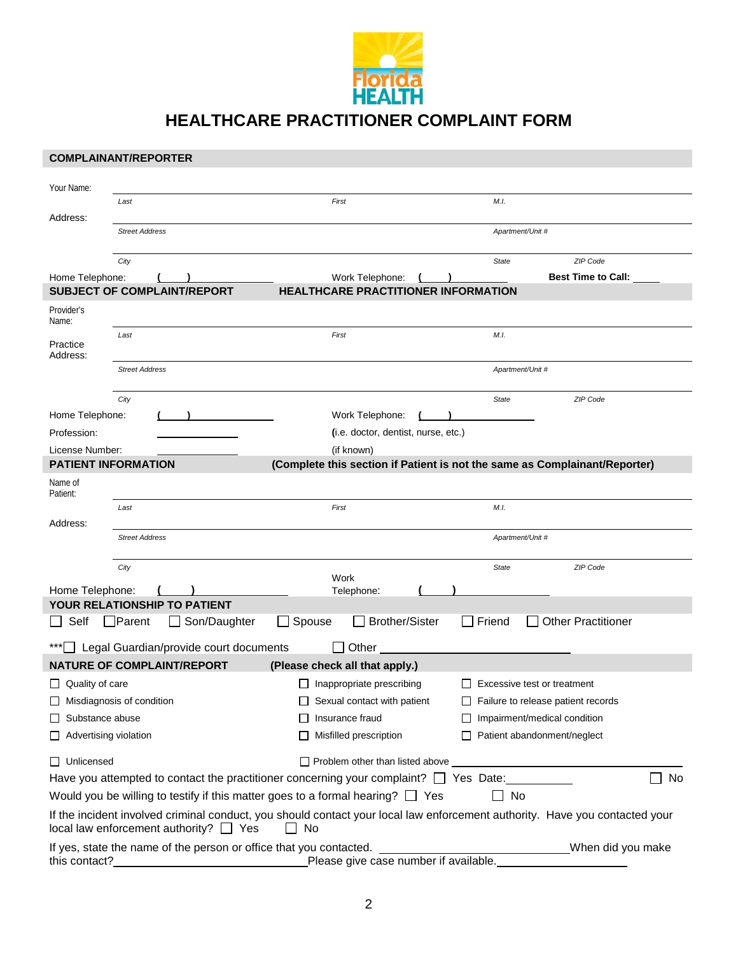

**HEALTHCARE PRACTITIONER COMPLAINT FORM**

|                                  | <b>COMPLAINANT/REPORTER</b>            |                                            |                                                                                            |                                     |                                       |                                                                                                                             |    |  |
|----------------------------------|----------------------------------------|--------------------------------------------|--------------------------------------------------------------------------------------------|-------------------------------------|---------------------------------------|-----------------------------------------------------------------------------------------------------------------------------|----|--|
| Your Name:                       |                                        |                                            |                                                                                            |                                     |                                       |                                                                                                                             |    |  |
|                                  | Last                                   |                                            | First                                                                                      |                                     | M.I.                                  |                                                                                                                             |    |  |
| Address:                         |                                        |                                            |                                                                                            |                                     |                                       |                                                                                                                             |    |  |
| <b>Street Address</b>            |                                        |                                            |                                                                                            |                                     |                                       | Apartment/Unit #                                                                                                            |    |  |
|                                  | City                                   |                                            |                                                                                            |                                     | <b>State</b>                          | ZIP Code                                                                                                                    |    |  |
| Home Telephone:                  |                                        |                                            | Work Telephone:                                                                            |                                     |                                       | <b>Best Time to Call:</b>                                                                                                   |    |  |
|                                  | <b>SUBJECT OF COMPLAINT/REPORT</b>     |                                            | <b>HEALTHCARE PRACTITIONER INFORMATION</b>                                                 |                                     |                                       |                                                                                                                             |    |  |
| Provider's<br>Name:              |                                        |                                            |                                                                                            |                                     |                                       |                                                                                                                             |    |  |
| Practice<br>Address:             | Last                                   |                                            | First                                                                                      |                                     | M.I.                                  |                                                                                                                             |    |  |
|                                  | <b>Street Address</b>                  |                                            |                                                                                            |                                     |                                       | Apartment/Unit #                                                                                                            |    |  |
|                                  | City                                   |                                            |                                                                                            |                                     | <b>State</b>                          | ZIP Code                                                                                                                    |    |  |
| Home Telephone:                  |                                        |                                            | Work Telephone:                                                                            |                                     |                                       |                                                                                                                             |    |  |
| Profession:                      |                                        |                                            |                                                                                            | (i.e. doctor, dentist, nurse, etc.) |                                       |                                                                                                                             |    |  |
| License Number:                  |                                        |                                            | (if known)                                                                                 |                                     |                                       |                                                                                                                             |    |  |
|                                  | <b>PATIENT INFORMATION</b>             |                                            |                                                                                            |                                     |                                       | (Complete this section if Patient is not the same as Complainant/Reporter)                                                  |    |  |
| Name of<br>Patient:              |                                        |                                            |                                                                                            |                                     |                                       |                                                                                                                             |    |  |
|                                  | Last                                   |                                            | First                                                                                      |                                     | M.I.                                  |                                                                                                                             |    |  |
| Address:                         |                                        |                                            |                                                                                            |                                     |                                       |                                                                                                                             |    |  |
|                                  | <b>Street Address</b>                  |                                            |                                                                                            |                                     |                                       | Apartment/Unit #                                                                                                            |    |  |
|                                  | City                                   |                                            |                                                                                            |                                     | State                                 | ZIP Code                                                                                                                    |    |  |
| Home Telephone:                  |                                        |                                            | Work<br>Telephone:                                                                         |                                     |                                       |                                                                                                                             |    |  |
|                                  | <b>YOUR RELATIONSHIP TO PATIENT</b>    |                                            |                                                                                            |                                     |                                       |                                                                                                                             |    |  |
| Self                             | $\Box$ Parent                          | Son/Daughter                               | Spouse                                                                                     | <b>Brother/Sister</b>               | Friend                                | <b>Other Practitioner</b>                                                                                                   |    |  |
|                                  |                                        | *** Legal Guardian/provide court documents | Other                                                                                      |                                     |                                       |                                                                                                                             |    |  |
|                                  | <b>NATURE OF COMPLAINT/REPORT</b>      |                                            | (Please check all that apply.)                                                             |                                     |                                       |                                                                                                                             |    |  |
| $\Box$ Quality of care           |                                        |                                            | Inappropriate prescribing                                                                  |                                     |                                       | Excessive test or treatment                                                                                                 |    |  |
| $\Box$ Misdiagnosis of condition |                                        |                                            | $\Box$ Sexual contact with patient                                                         |                                     |                                       | $\Box$ Failure to release patient records                                                                                   |    |  |
| Substance abuse                  |                                        |                                            | Insurance fraud                                                                            |                                     |                                       | $\Box$ Impairment/medical condition                                                                                         |    |  |
| $\Box$ Advertising violation     |                                        |                                            | Misfilled prescription                                                                     |                                     |                                       | $\Box$ Patient abandonment/neglect                                                                                          |    |  |
| $\Box$ Unlicensed                |                                        |                                            |                                                                                            |                                     |                                       |                                                                                                                             |    |  |
|                                  |                                        |                                            | Have you attempted to contact the practitioner concerning your complaint? $\Box$ Yes Date: |                                     |                                       |                                                                                                                             | No |  |
|                                  |                                        |                                            | Would you be willing to testify if this matter goes to a formal hearing? $\Box$ Yes        |                                     | $\Box$ No                             |                                                                                                                             |    |  |
|                                  | $local law enforcement authority?$ Yes |                                            | $\Box$ No                                                                                  |                                     |                                       | If the incident involved criminal conduct, you should contact your local law enforcement authority. Have you contacted your |    |  |
| this contact?                    |                                        |                                            |                                                                                            |                                     | Please give case number if available. | When did you make                                                                                                           |    |  |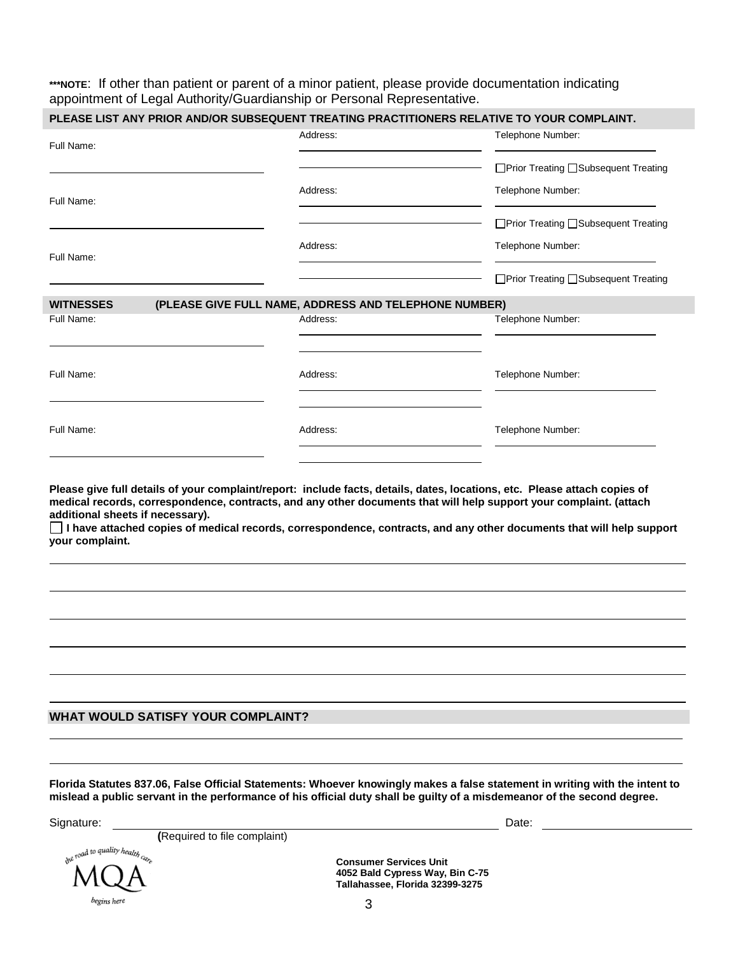**\*\*\*NOTE**: If other than patient or parent of a minor patient, please provide documentation indicating appointment of Legal Authority/Guardianship or Personal Representative.

| Full Name:                                                                                       | Address:                                              | Telephone Number:                                                                                                                                                                                                                                                                                                                                                       |  |  |
|--------------------------------------------------------------------------------------------------|-------------------------------------------------------|-------------------------------------------------------------------------------------------------------------------------------------------------------------------------------------------------------------------------------------------------------------------------------------------------------------------------------------------------------------------------|--|--|
|                                                                                                  |                                                       | □Prior Treating □Subsequent Treating                                                                                                                                                                                                                                                                                                                                    |  |  |
| Full Name:                                                                                       | Address:                                              | Telephone Number:                                                                                                                                                                                                                                                                                                                                                       |  |  |
|                                                                                                  |                                                       | □ Prior Treating □ Subsequent Treating                                                                                                                                                                                                                                                                                                                                  |  |  |
| Full Name:                                                                                       | Address:                                              | Telephone Number:                                                                                                                                                                                                                                                                                                                                                       |  |  |
|                                                                                                  |                                                       | □ Prior Treating □ Subsequent Treating                                                                                                                                                                                                                                                                                                                                  |  |  |
| <b>WITNESSES</b>                                                                                 | (PLEASE GIVE FULL NAME, ADDRESS AND TELEPHONE NUMBER) |                                                                                                                                                                                                                                                                                                                                                                         |  |  |
| Full Name:                                                                                       | Address:                                              | Telephone Number:                                                                                                                                                                                                                                                                                                                                                       |  |  |
| Full Name:                                                                                       | Address:                                              | Telephone Number:                                                                                                                                                                                                                                                                                                                                                       |  |  |
|                                                                                                  |                                                       |                                                                                                                                                                                                                                                                                                                                                                         |  |  |
| Full Name:                                                                                       | Address:                                              | Telephone Number:                                                                                                                                                                                                                                                                                                                                                       |  |  |
|                                                                                                  |                                                       | Please give full details of your complaint/report: include facts, details, dates, locations, etc. Please attach copies of<br>medical records, correspondence, contracts, and any other documents that will help support your complaint. (attach<br>I have attached copies of medical records, correspondence, contracts, and any other documents that will help support |  |  |
|                                                                                                  |                                                       |                                                                                                                                                                                                                                                                                                                                                                         |  |  |
|                                                                                                  |                                                       |                                                                                                                                                                                                                                                                                                                                                                         |  |  |
|                                                                                                  |                                                       |                                                                                                                                                                                                                                                                                                                                                                         |  |  |
|                                                                                                  |                                                       |                                                                                                                                                                                                                                                                                                                                                                         |  |  |
| additional sheets if necessary).<br>your complaint.<br><b>WHAT WOULD SATISFY YOUR COMPLAINT?</b> |                                                       |                                                                                                                                                                                                                                                                                                                                                                         |  |  |

Signature: **Date: Date: Date: Date: Date: Date: Date: Date: Date: Date: Date: Date: Date: Date: Date: Date: Date: Date: Date: Date: Date: Date: Date: Date: Date: Date: Da** 

 **(**Required to file complaint)

Λ begins here

**Consumer Services Unit 4052 Bald Cypress Way, Bin C-75 Tallahassee, Florida 32399-3275**